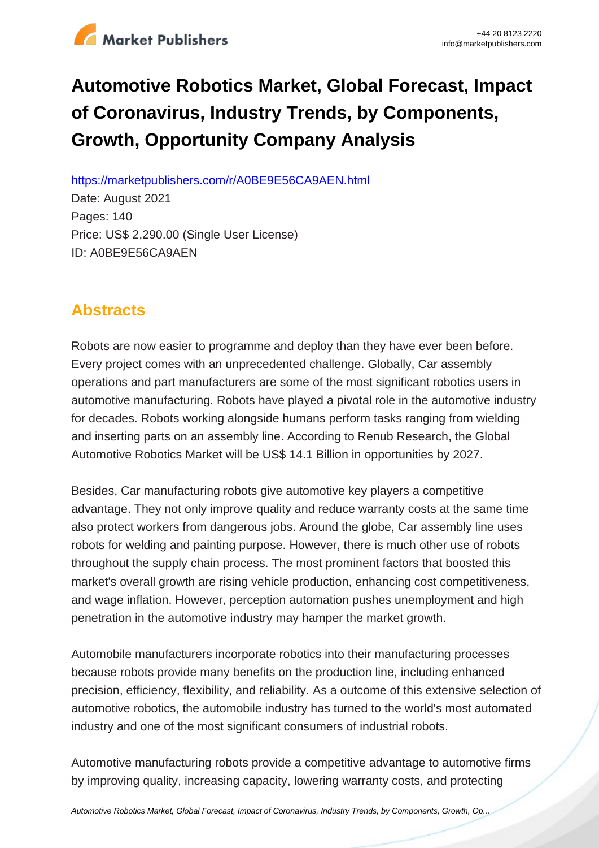

# **Automotive Robotics Market, Global Forecast, Impact of Coronavirus, Industry Trends, by Components, Growth, Opportunity Company Analysis**

https://marketpublishers.com/r/A0BE9E56CA9AEN.html

Date: August 2021 Pages: 140 Price: US\$ 2,290.00 (Single User License) ID: A0BE9E56CA9AEN

# **Abstracts**

Robots are now easier to programme and deploy than they have ever been before. Every project comes with an unprecedented challenge. Globally, Car assembly operations and part manufacturers are some of the most significant robotics users in automotive manufacturing. Robots have played a pivotal role in the automotive industry for decades. Robots working alongside humans perform tasks ranging from wielding and inserting parts on an assembly line. According to Renub Research, the Global Automotive Robotics Market will be US\$ 14.1 Billion in opportunities by 2027.

Besides, Car manufacturing robots give automotive key players a competitive advantage. They not only improve quality and reduce warranty costs at the same time also protect workers from dangerous jobs. Around the globe, Car assembly line uses robots for welding and painting purpose. However, there is much other use of robots throughout the supply chain process. The most prominent factors that boosted this market's overall growth are rising vehicle production, enhancing cost competitiveness, and wage inflation. However, perception automation pushes unemployment and high penetration in the automotive industry may hamper the market growth.

Automobile manufacturers incorporate robotics into their manufacturing processes because robots provide many benefits on the production line, including enhanced precision, efficiency, flexibility, and reliability. As a outcome of this extensive selection of automotive robotics, the automobile industry has turned to the world's most automated industry and one of the most significant consumers of industrial robots.

Automotive manufacturing robots provide a competitive advantage to automotive firms by improving quality, increasing capacity, lowering warranty costs, and protecting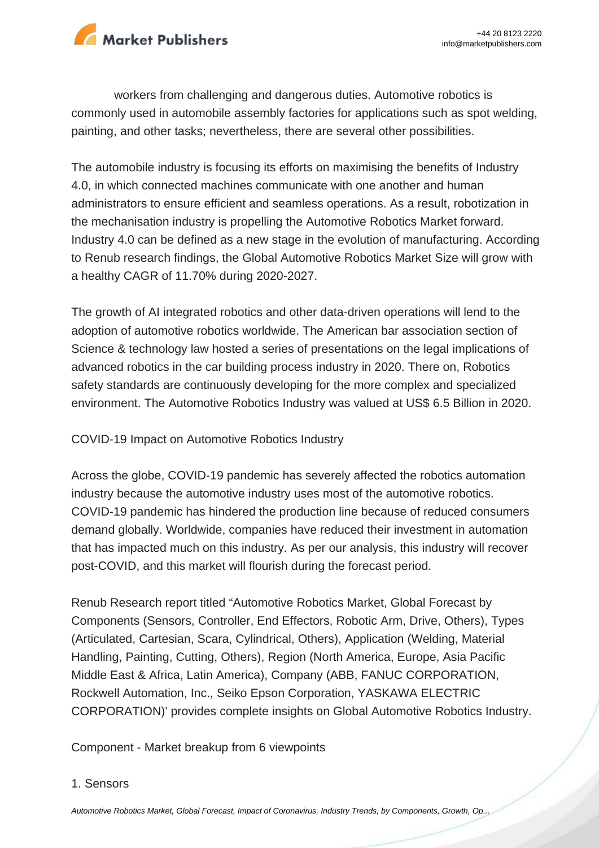

workers from challenging and dangerous duties. Automotive robotics is commonly used in automobile assembly factories for applications such as spot welding, painting, and other tasks; nevertheless, there are several other possibilities.

The automobile industry is focusing its efforts on maximising the benefits of Industry 4.0, in which connected machines communicate with one another and human administrators to ensure efficient and seamless operations. As a result, robotization in the mechanisation industry is propelling the Automotive Robotics Market forward. Industry 4.0 can be defined as a new stage in the evolution of manufacturing. According to Renub research findings, the Global Automotive Robotics Market Size will grow with a healthy CAGR of 11.70% during 2020-2027.

The growth of AI integrated robotics and other data-driven operations will lend to the adoption of automotive robotics worldwide. The American bar association section of Science & technology law hosted a series of presentations on the legal implications of advanced robotics in the car building process industry in 2020. There on, Robotics safety standards are continuously developing for the more complex and specialized environment. The Automotive Robotics Industry was valued at US\$ 6.5 Billion in 2020.

#### COVID-19 Impact on Automotive Robotics Industry

Across the globe, COVID-19 pandemic has severely affected the robotics automation industry because the automotive industry uses most of the automotive robotics. COVID-19 pandemic has hindered the production line because of reduced consumers demand globally. Worldwide, companies have reduced their investment in automation that has impacted much on this industry. As per our analysis, this industry will recover post-COVID, and this market will flourish during the forecast period.

Renub Research report titled "Automotive Robotics Market, Global Forecast by Components (Sensors, Controller, End Effectors, Robotic Arm, Drive, Others), Types (Articulated, Cartesian, Scara, Cylindrical, Others), Application (Welding, Material Handling, Painting, Cutting, Others), Region (North America, Europe, Asia Pacific Middle East & Africa, Latin America), Company (ABB, FANUC CORPORATION, Rockwell Automation, Inc., Seiko Epson Corporation, YASKAWA ELECTRIC CORPORATION)' provides complete insights on Global Automotive Robotics Industry.

Component - Market breakup from 6 viewpoints

#### 1. Sensors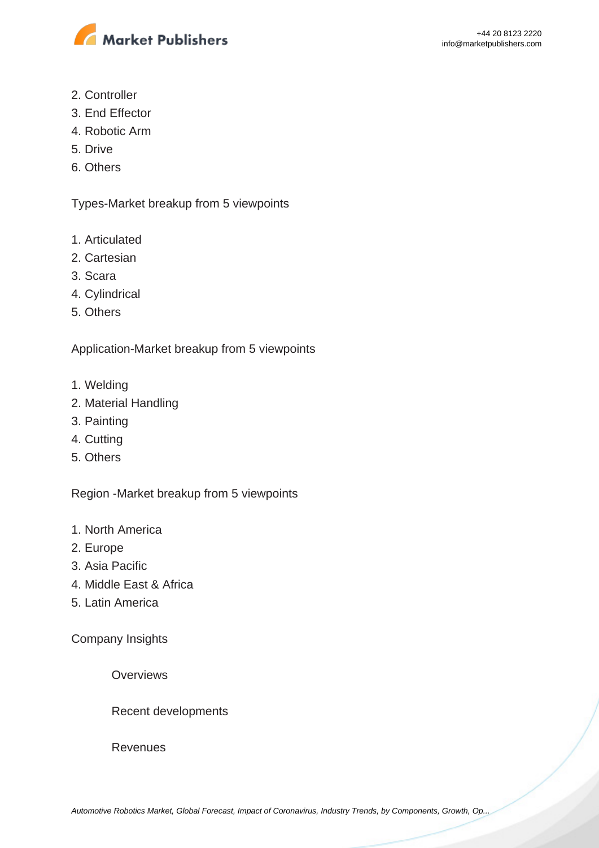

- 2. Controller
- 3. End Effector
- 4. Robotic Arm
- 5. Drive
- 6. Others

Types-Market breakup from 5 viewpoints

- 1. Articulated
- 2. Cartesian
- 3. Scara
- 4. Cylindrical
- 5. Others

Application-Market breakup from 5 viewpoints

- 1. Welding
- 2. Material Handling
- 3. Painting
- 4. Cutting
- 5. Others

Region -Market breakup from 5 viewpoints

- 1. North America
- 2. Europe
- 3. Asia Pacific
- 4. Middle East & Africa
- 5. Latin America

Company Insights

**Overviews** 

Recent developments

**Revenues**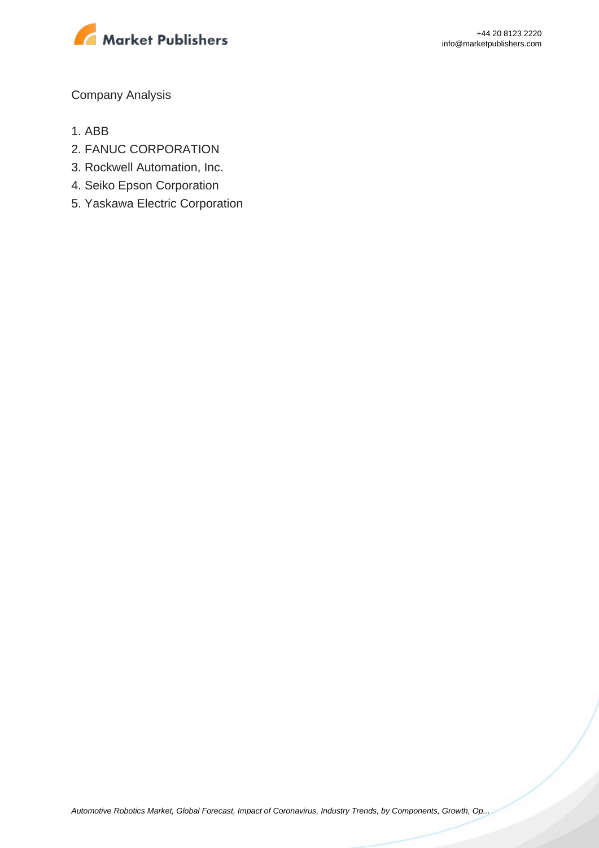

Company Analysis

- 1. ABB
- 2. FANUC CORPORATION
- 3. Rockwell Automation, Inc.
- 4. Seiko Epson Corporation
- 5. Yaskawa Electric Corporation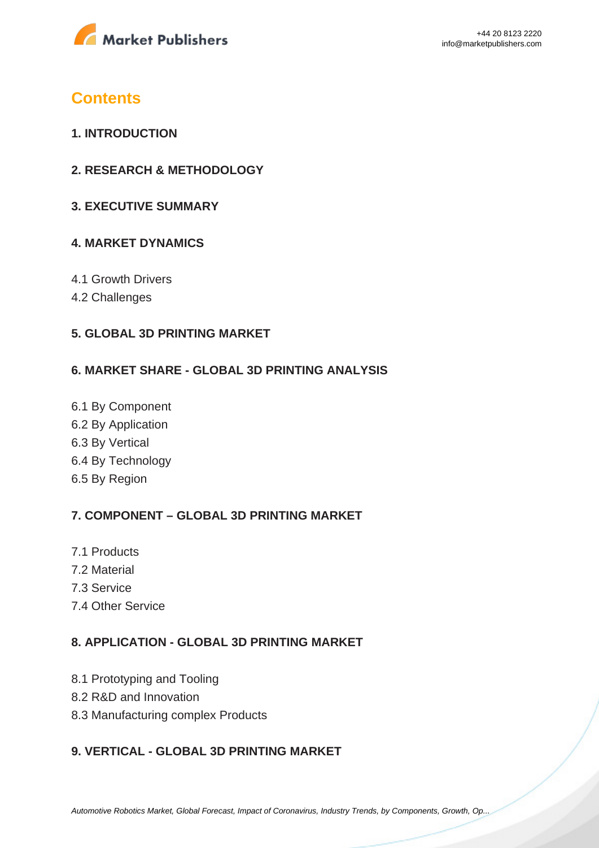

## **Contents**

- **1. INTRODUCTION**
- **2. RESEARCH & METHODOLOGY**
- **3. EXECUTIVE SUMMARY**

#### **4. MARKET DYNAMICS**

- 4.1 Growth Drivers
- 4.2 Challenges

#### **5. GLOBAL 3D PRINTING MARKET**

#### **6. MARKET SHARE - GLOBAL 3D PRINTING ANALYSIS**

6.1 By Component 6.2 By Application 6.3 By Vertical 6.4 By Technology 6.5 By Region

### **7. COMPONENT – GLOBAL 3D PRINTING MARKET**

- 7.1 Products
- 7.2 Material
- 7.3 Service
- 7.4 Other Service

#### **8. APPLICATION - GLOBAL 3D PRINTING MARKET**

- 8.1 Prototyping and Tooling
- 8.2 R&D and Innovation
- 8.3 Manufacturing complex Products

#### **9. VERTICAL - GLOBAL 3D PRINTING MARKET**

[Automotive Robotics Market, Global Forecast, Impact of Coronavirus, Industry Trends, by Components, Growth, Op...](https://marketpublishers.com/report/equipment/automotive-robotics-market-global-forecast-impact-of-coronavirus-industry-trends-by-components-growth-opportunity-company-analysis.html)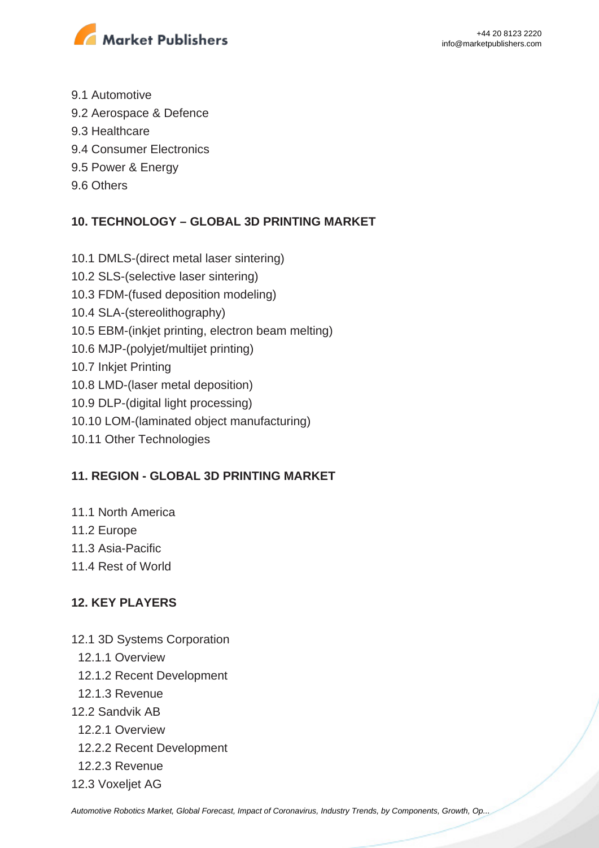

- 9.1 Automotive
- 9.2 Aerospace & Defence
- 9.3 Healthcare
- 9.4 Consumer Electronics
- 9.5 Power & Energy
- 9.6 Others

### **10. TECHNOLOGY – GLOBAL 3D PRINTING MARKET**

- 10.1 DMLS-(direct metal laser sintering)
- 10.2 SLS-(selective laser sintering)
- 10.3 FDM-(fused deposition modeling)
- 10.4 SLA-(stereolithography)
- 10.5 EBM-(inkjet printing, electron beam melting)
- 10.6 MJP-(polyjet/multijet printing)
- 10.7 Inkjet Printing
- 10.8 LMD-(laser metal deposition)
- 10.9 DLP-(digital light processing)
- 10.10 LOM-(laminated object manufacturing)
- 10.11 Other Technologies

#### **11. REGION - GLOBAL 3D PRINTING MARKET**

- 11.1 North America
- 11.2 Europe
- 11.3 Asia-Pacific
- 11.4 Rest of World

### **12. KEY PLAYERS**

- 12.1 3D Systems Corporation
	- 12.1.1 Overview
	- 12.1.2 Recent Development
- 12.1.3 Revenue
- 12.2 Sandvik AB
	- 12.2.1 Overview
	- 12.2.2 Recent Development
- 12.2.3 Revenue
- 12.3 Voxeljet AG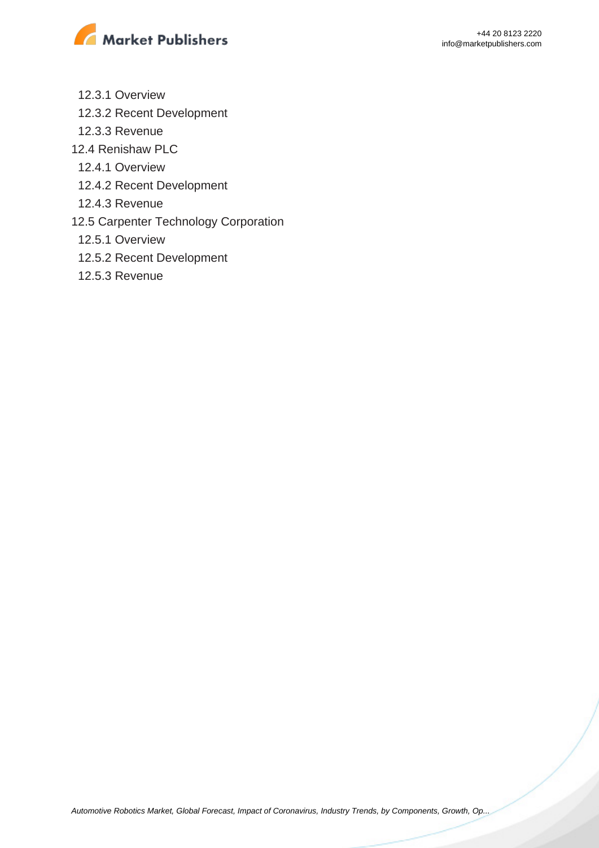

- 12.3.1 Overview
- 12.3.2 Recent Development
- 12.3.3 Revenue
- 12.4 Renishaw PLC
	- 12.4.1 Overview
	- 12.4.2 Recent Development
	- 12.4.3 Revenue
- 12.5 Carpenter Technology Corporation
	- 12.5.1 Overview
	- 12.5.2 Recent Development
	- 12.5.3 Revenue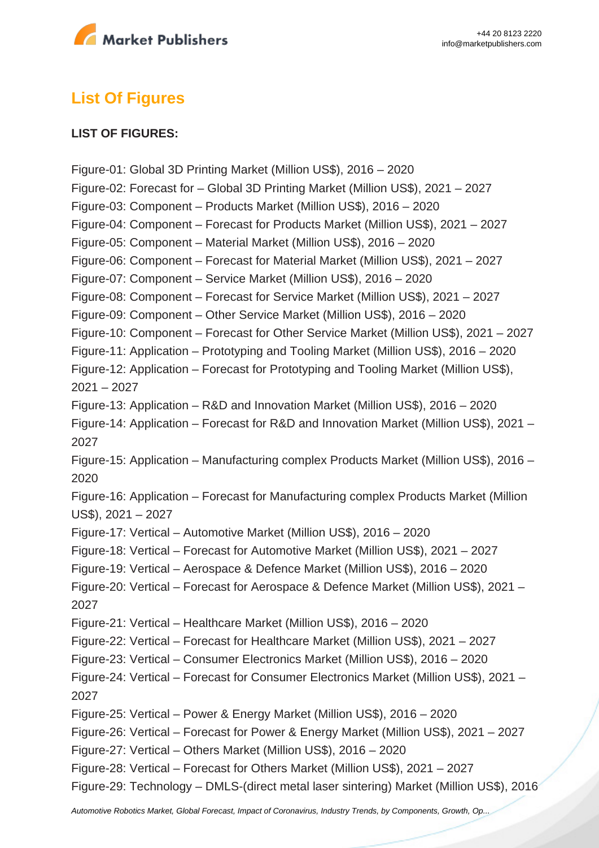

# **List Of Figures**

#### **LIST OF FIGURES:**

Figure-01: Global 3D Printing Market (Million US\$), 2016 – 2020 Figure-02: Forecast for – Global 3D Printing Market (Million US\$), 2021 – 2027 Figure-03: Component – Products Market (Million US\$), 2016 – 2020 Figure-04: Component – Forecast for Products Market (Million US\$), 2021 – 2027 Figure-05: Component – Material Market (Million US\$), 2016 – 2020 Figure-06: Component – Forecast for Material Market (Million US\$), 2021 – 2027 Figure-07: Component – Service Market (Million US\$), 2016 – 2020 Figure-08: Component – Forecast for Service Market (Million US\$), 2021 – 2027 Figure-09: Component – Other Service Market (Million US\$), 2016 – 2020 Figure-10: Component – Forecast for Other Service Market (Million US\$), 2021 – 2027 Figure-11: Application – Prototyping and Tooling Market (Million US\$), 2016 – 2020 Figure-12: Application – Forecast for Prototyping and Tooling Market (Million US\$), 2021 – 2027 Figure-13: Application – R&D and Innovation Market (Million US\$), 2016 – 2020 Figure-14: Application – Forecast for R&D and Innovation Market (Million US\$), 2021 – 2027 Figure-15: Application – Manufacturing complex Products Market (Million US\$), 2016 – 2020 Figure-16: Application – Forecast for Manufacturing complex Products Market (Million US\$), 2021 – 2027 Figure-17: Vertical – Automotive Market (Million US\$), 2016 – 2020 Figure-18: Vertical – Forecast for Automotive Market (Million US\$), 2021 – 2027 Figure-19: Vertical – Aerospace & Defence Market (Million US\$), 2016 – 2020 Figure-20: Vertical – Forecast for Aerospace & Defence Market (Million US\$), 2021 – 2027 Figure-21: Vertical – Healthcare Market (Million US\$), 2016 – 2020 Figure-22: Vertical – Forecast for Healthcare Market (Million US\$), 2021 – 2027 Figure-23: Vertical – Consumer Electronics Market (Million US\$), 2016 – 2020 Figure-24: Vertical – Forecast for Consumer Electronics Market (Million US\$), 2021 – 2027 Figure-25: Vertical – Power & Energy Market (Million US\$), 2016 – 2020 Figure-26: Vertical – Forecast for Power & Energy Market (Million US\$), 2021 – 2027 Figure-27: Vertical – Others Market (Million US\$), 2016 – 2020 Figure-28: Vertical – Forecast for Others Market (Million US\$), 2021 – 2027 Figure-29: Technology – DMLS-(direct metal laser sintering) Market (Million US\$), 2016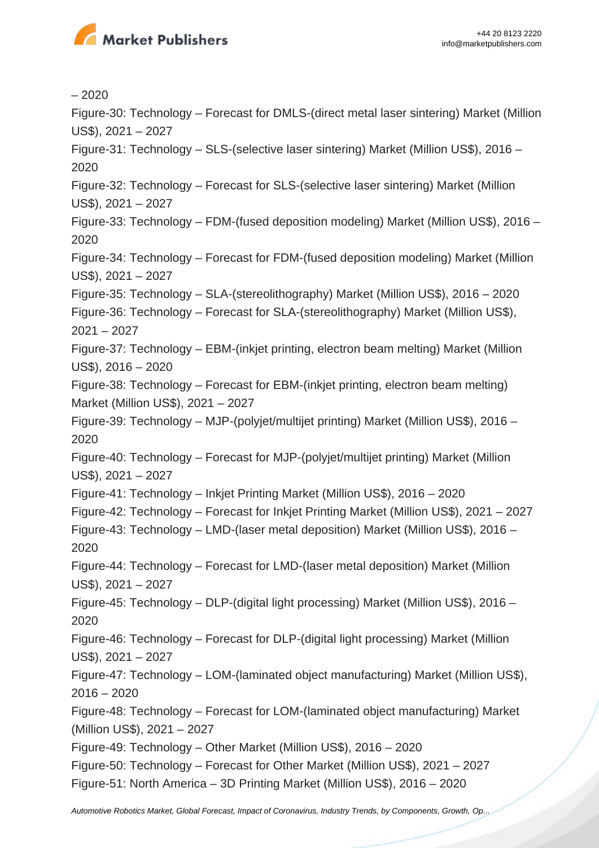

– 2020 Figure-30: Technology – Forecast for DMLS-(direct metal laser sintering) Market (Million US\$), 2021 – 2027 Figure-31: Technology – SLS-(selective laser sintering) Market (Million US\$), 2016 – 2020 Figure-32: Technology – Forecast for SLS-(selective laser sintering) Market (Million US\$), 2021 – 2027 Figure-33: Technology – FDM-(fused deposition modeling) Market (Million US\$), 2016 – 2020 Figure-34: Technology – Forecast for FDM-(fused deposition modeling) Market (Million US\$), 2021 – 2027 Figure-35: Technology – SLA-(stereolithography) Market (Million US\$), 2016 – 2020 Figure-36: Technology – Forecast for SLA-(stereolithography) Market (Million US\$), 2021 – 2027 Figure-37: Technology – EBM-(inkjet printing, electron beam melting) Market (Million US\$), 2016 – 2020 Figure-38: Technology – Forecast for EBM-(inkjet printing, electron beam melting) Market (Million US\$), 2021 – 2027 Figure-39: Technology – MJP-(polyjet/multijet printing) Market (Million US\$), 2016 – 2020 Figure-40: Technology – Forecast for MJP-(polyjet/multijet printing) Market (Million US\$), 2021 – 2027 Figure-41: Technology – Inkjet Printing Market (Million US\$), 2016 – 2020 Figure-42: Technology – Forecast for Inkjet Printing Market (Million US\$), 2021 – 2027 Figure-43: Technology – LMD-(laser metal deposition) Market (Million US\$), 2016 – 2020 Figure-44: Technology – Forecast for LMD-(laser metal deposition) Market (Million US\$), 2021 – 2027 Figure-45: Technology – DLP-(digital light processing) Market (Million US\$), 2016 – 2020 Figure-46: Technology – Forecast for DLP-(digital light processing) Market (Million US\$), 2021 – 2027 Figure-47: Technology – LOM-(laminated object manufacturing) Market (Million US\$),  $2016 - 2020$ Figure-48: Technology – Forecast for LOM-(laminated object manufacturing) Market (Million US\$), 2021 – 2027 Figure-49: Technology – Other Market (Million US\$), 2016 – 2020 Figure-50: Technology – Forecast for Other Market (Million US\$), 2021 – 2027 Figure-51: North America – 3D Printing Market (Million US\$), 2016 – 2020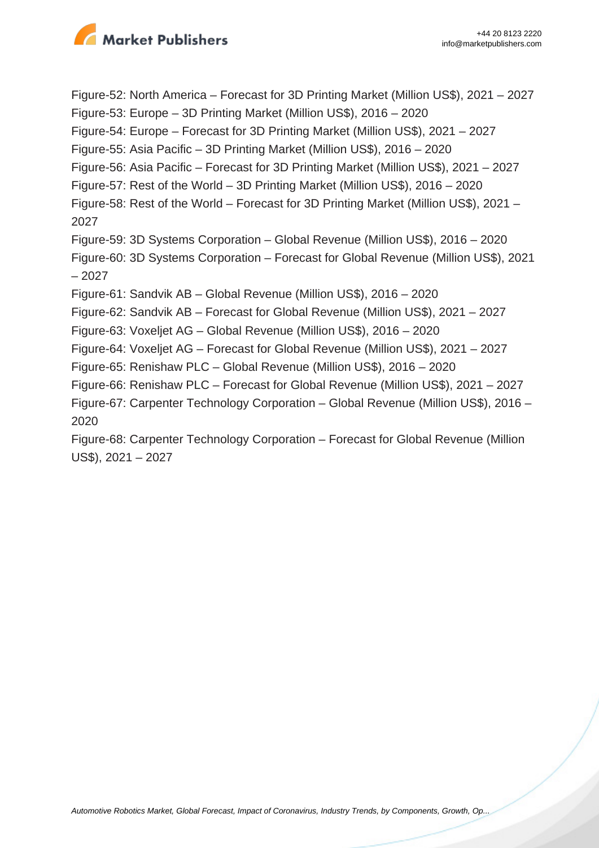

Figure-52: North America – Forecast for 3D Printing Market (Million US\$), 2021 – 2027 Figure-53: Europe – 3D Printing Market (Million US\$), 2016 – 2020 Figure-54: Europe – Forecast for 3D Printing Market (Million US\$), 2021 – 2027 Figure-55: Asia Pacific – 3D Printing Market (Million US\$), 2016 – 2020 Figure-56: Asia Pacific – Forecast for 3D Printing Market (Million US\$), 2021 – 2027 Figure-57: Rest of the World – 3D Printing Market (Million US\$), 2016 – 2020 Figure-58: Rest of the World – Forecast for 3D Printing Market (Million US\$), 2021 – 2027 Figure-59: 3D Systems Corporation – Global Revenue (Million US\$), 2016 – 2020 Figure-60: 3D Systems Corporation – Forecast for Global Revenue (Million US\$), 2021 – 2027 Figure-61: Sandvik AB – Global Revenue (Million US\$), 2016 – 2020 Figure-62: Sandvik AB – Forecast for Global Revenue (Million US\$), 2021 – 2027 Figure-63: Voxeljet AG – Global Revenue (Million US\$), 2016 – 2020 Figure-64: Voxeljet AG – Forecast for Global Revenue (Million US\$), 2021 – 2027 Figure-65: Renishaw PLC – Global Revenue (Million US\$), 2016 – 2020 Figure-66: Renishaw PLC – Forecast for Global Revenue (Million US\$), 2021 – 2027 Figure-67: Carpenter Technology Corporation – Global Revenue (Million US\$), 2016 – 2020 Figure-68: Carpenter Technology Corporation – Forecast for Global Revenue (Million US\$), 2021 – 2027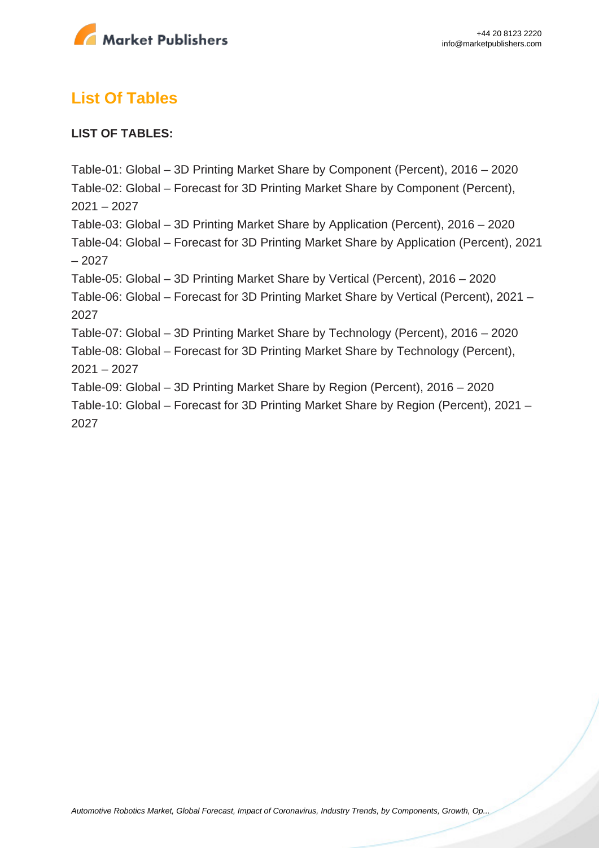

# **List Of Tables**

#### **LIST OF TABLES:**

Table-01: Global – 3D Printing Market Share by Component (Percent), 2016 – 2020 Table-02: Global – Forecast for 3D Printing Market Share by Component (Percent), 2021 – 2027 Table-03: Global – 3D Printing Market Share by Application (Percent), 2016 – 2020 Table-04: Global – Forecast for 3D Printing Market Share by Application (Percent), 2021 – 2027 Table-05: Global – 3D Printing Market Share by Vertical (Percent), 2016 – 2020 Table-06: Global – Forecast for 3D Printing Market Share by Vertical (Percent), 2021 – 2027 Table-07: Global – 3D Printing Market Share by Technology (Percent), 2016 – 2020 Table-08: Global – Forecast for 3D Printing Market Share by Technology (Percent), 2021 – 2027 Table-09: Global – 3D Printing Market Share by Region (Percent), 2016 – 2020 Table-10: Global – Forecast for 3D Printing Market Share by Region (Percent), 2021 – 2027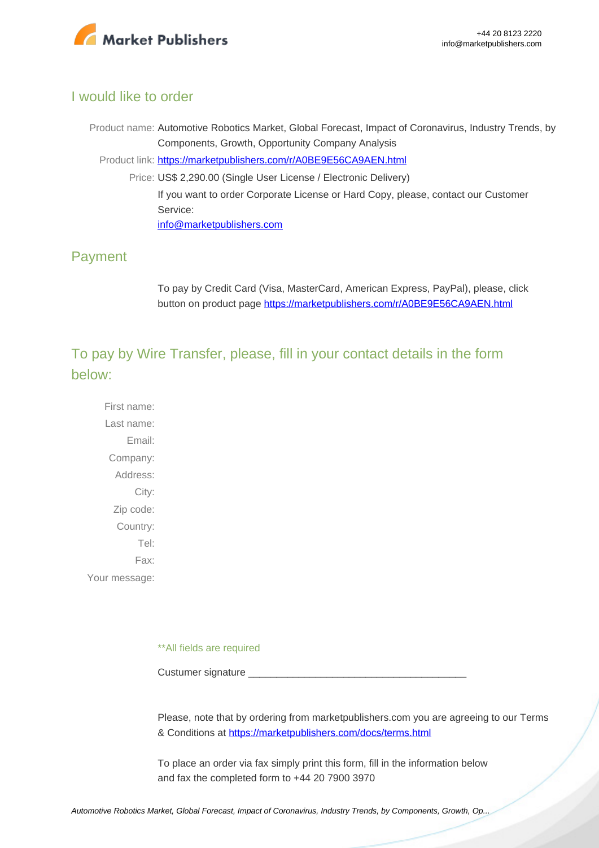

#### I would like to order

Product name: Automotive Robotics Market, Global Forecast, Impact of Coronavirus, Industry Trends, by Components, Growth, Opportunity Company Analysis Product link: [https://marketpublishers.com/r/A0BE9E56CA9AEN.html](https://marketpublishers.com/report/equipment/automotive-robotics-market-global-forecast-impact-of-coronavirus-industry-trends-by-components-growth-opportunity-company-analysis.html) Price: US\$ 2,290.00 (Single User License / Electronic Delivery) If you want to order Corporate License or Hard Copy, please, contact our Customer Service: [info@marketpublishers.com](mailto:info@marketpublishers.com)

### Payment

To pay by Credit Card (Visa, MasterCard, American Express, PayPal), please, click button on product page [https://marketpublishers.com/r/A0BE9E56CA9AEN.html](https://marketpublishers.com/report/equipment/automotive-robotics-market-global-forecast-impact-of-coronavirus-industry-trends-by-components-growth-opportunity-company-analysis.html)

To pay by Wire Transfer, please, fill in your contact details in the form below:

First name: Last name: Email: Company: Address: City: Zip code: Country: Tel: Fax: Your message:

\*\*All fields are required

Custumer signature

Please, note that by ordering from marketpublishers.com you are agreeing to our Terms & Conditions at<https://marketpublishers.com/docs/terms.html>

To place an order via fax simply print this form, fill in the information below and fax the completed form to +44 20 7900 3970